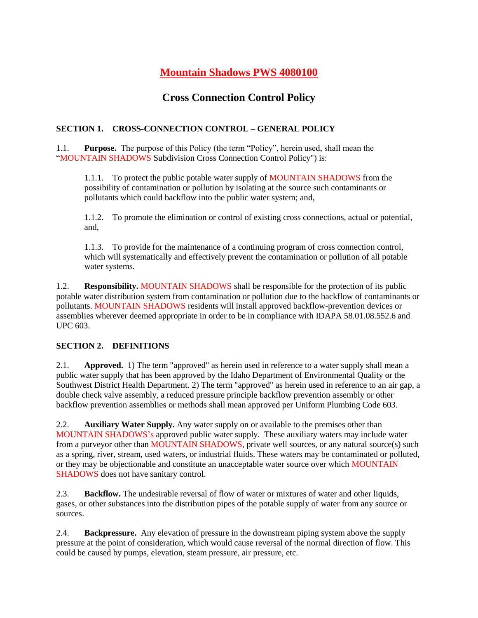# **Mountain Shadows PWS 4080100**

## **Cross Connection Control Policy**

## **SECTION 1. CROSS-CONNECTION CONTROL – GENERAL POLICY**

1.1. **Purpose.** The purpose of this Policy (the term "Policy", herein used, shall mean the "MOUNTAIN SHADOWS Subdivision Cross Connection Control Policy") is:

1.1.1. To protect the public potable water supply of MOUNTAIN SHADOWS from the possibility of contamination or pollution by isolating at the source such contaminants or pollutants which could backflow into the public water system; and,

1.1.2. To promote the elimination or control of existing cross connections, actual or potential, and,

1.1.3. To provide for the maintenance of a continuing program of cross connection control, which will systematically and effectively prevent the contamination or pollution of all potable water systems.

1.2. **Responsibility.** MOUNTAIN SHADOWS shall be responsible for the protection of its public potable water distribution system from contamination or pollution due to the backflow of contaminants or pollutants. MOUNTAIN SHADOWS residents will install approved backflow-prevention devices or assemblies wherever deemed appropriate in order to be in compliance with IDAPA 58.01.08.552.6 and UPC 603.

## **SECTION 2. DEFINITIONS**

2.1. **Approved.** 1) The term "approved" as herein used in reference to a water supply shall mean a public water supply that has been approved by the Idaho Department of Environmental Quality or the Southwest District Health Department. 2) The term "approved" as herein used in reference to an air gap, a double check valve assembly, a reduced pressure principle backflow prevention assembly or other backflow prevention assemblies or methods shall mean approved per Uniform Plumbing Code 603.

2.2. **Auxiliary Water Supply.** Any water supply on or available to the premises other than MOUNTAIN SHADOWS's approved public water supply. These auxiliary waters may include water from a purveyor other than MOUNTAIN SHADOWS, private well sources, or any natural source(s) such as a spring, river, stream, used waters, or industrial fluids. These waters may be contaminated or polluted, or they may be objectionable and constitute an unacceptable water source over which MOUNTAIN SHADOWS does not have sanitary control.

2.3. **Backflow.** The undesirable reversal of flow of water or mixtures of water and other liquids, gases, or other substances into the distribution pipes of the potable supply of water from any source or sources.

2.4. **Backpressure.** Any elevation of pressure in the downstream piping system above the supply pressure at the point of consideration, which would cause reversal of the normal direction of flow. This could be caused by pumps, elevation, steam pressure, air pressure, etc.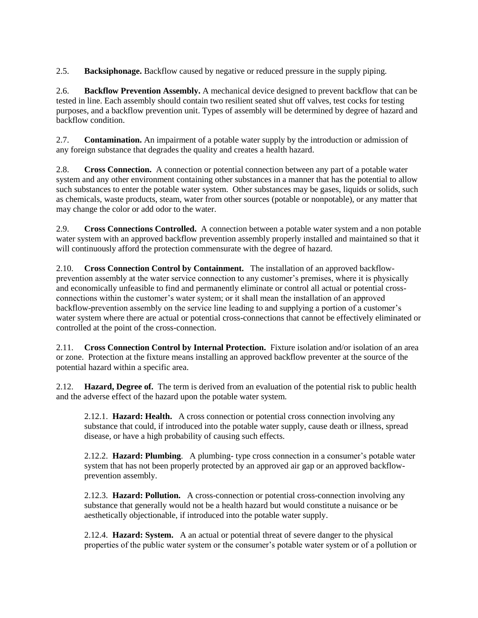2.5. **Backsiphonage.** Backflow caused by negative or reduced pressure in the supply piping.

2.6. **Backflow Prevention Assembly.** A mechanical device designed to prevent backflow that can be tested in line. Each assembly should contain two resilient seated shut off valves, test cocks for testing purposes, and a backflow prevention unit. Types of assembly will be determined by degree of hazard and backflow condition.

2.7. **Contamination.** An impairment of a potable water supply by the introduction or admission of any foreign substance that degrades the quality and creates a health hazard.

2.8. **Cross Connection.** A connection or potential connection between any part of a potable water system and any other environment containing other substances in a manner that has the potential to allow such substances to enter the potable water system. Other substances may be gases, liquids or solids, such as chemicals, waste products, steam, water from other sources (potable or nonpotable), or any matter that may change the color or add odor to the water.

2.9. **Cross Connections Controlled.** A connection between a potable water system and a non potable water system with an approved backflow prevention assembly properly installed and maintained so that it will continuously afford the protection commensurate with the degree of hazard.

2.10. **Cross Connection Control by Containment.** The installation of an approved backflowprevention assembly at the water service connection to any customer's premises, where it is physically and economically unfeasible to find and permanently eliminate or control all actual or potential crossconnections within the customer's water system; or it shall mean the installation of an approved backflow-prevention assembly on the service line leading to and supplying a portion of a customer's water system where there are actual or potential cross-connections that cannot be effectively eliminated or controlled at the point of the cross-connection.

2.11. **Cross Connection Control by Internal Protection.** Fixture isolation and/or isolation of an area or zone. Protection at the fixture means installing an approved backflow preventer at the source of the potential hazard within a specific area.

2.12. **Hazard, Degree of.** The term is derived from an evaluation of the potential risk to public health and the adverse effect of the hazard upon the potable water system.

2.12.1. **Hazard: Health.** A cross connection or potential cross connection involving any substance that could, if introduced into the potable water supply, cause death or illness, spread disease, or have a high probability of causing such effects.

2.12.2. **Hazard: Plumbing**. A plumbing- type cross connection in a consumer's potable water system that has not been properly protected by an approved air gap or an approved backflowprevention assembly.

2.12.3. **Hazard: Pollution.** A cross-connection or potential cross-connection involving any substance that generally would not be a health hazard but would constitute a nuisance or be aesthetically objectionable, if introduced into the potable water supply.

2.12.4. **Hazard: System.** A an actual or potential threat of severe danger to the physical properties of the public water system or the consumer's potable water system or of a pollution or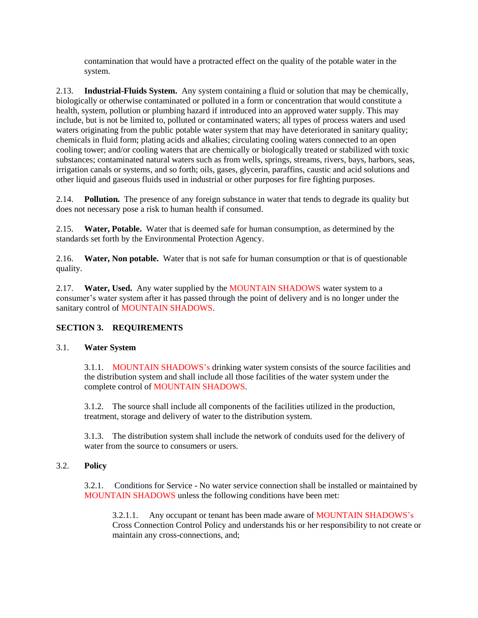contamination that would have a protracted effect on the quality of the potable water in the system.

2.13. **Industrial-Fluids System.** Any system containing a fluid or solution that may be chemically, biologically or otherwise contaminated or polluted in a form or concentration that would constitute a health, system, pollution or plumbing hazard if introduced into an approved water supply. This may include, but is not be limited to, polluted or contaminated waters; all types of process waters and used waters originating from the public potable water system that may have deteriorated in sanitary quality; chemicals in fluid form; plating acids and alkalies; circulating cooling waters connected to an open cooling tower; and/or cooling waters that are chemically or biologically treated or stabilized with toxic substances; contaminated natural waters such as from wells, springs, streams, rivers, bays, harbors, seas, irrigation canals or systems, and so forth; oils, gases, glycerin, paraffins, caustic and acid solutions and other liquid and gaseous fluids used in industrial or other purposes for fire fighting purposes.

2.14. **Pollution.** The presence of any foreign substance in water that tends to degrade its quality but does not necessary pose a risk to human health if consumed.

2.15. **Water, Potable.** Water that is deemed safe for human consumption, as determined by the standards set forth by the Environmental Protection Agency.

2.16. **Water, Non potable.** Water that is not safe for human consumption or that is of questionable quality.

2.17. **Water, Used.** Any water supplied by the MOUNTAIN SHADOWS water system to a consumer's water system after it has passed through the point of delivery and is no longer under the sanitary control of MOUNTAIN SHADOWS.

### **SECTION 3. REQUIREMENTS**

### 3.1. **Water System**

3.1.1. MOUNTAIN SHADOWS's drinking water system consists of the source facilities and the distribution system and shall include all those facilities of the water system under the complete control of MOUNTAIN SHADOWS.

3.1.2. The source shall include all components of the facilities utilized in the production, treatment, storage and delivery of water to the distribution system.

3.1.3. The distribution system shall include the network of conduits used for the delivery of water from the source to consumers or users.

### 3.2. **Policy**

3.2.1. Conditions for Service - No water service connection shall be installed or maintained by MOUNTAIN SHADOWS unless the following conditions have been met:

3.2.1.1. Any occupant or tenant has been made aware of MOUNTAIN SHADOWS's Cross Connection Control Policy and understands his or her responsibility to not create or maintain any cross-connections, and;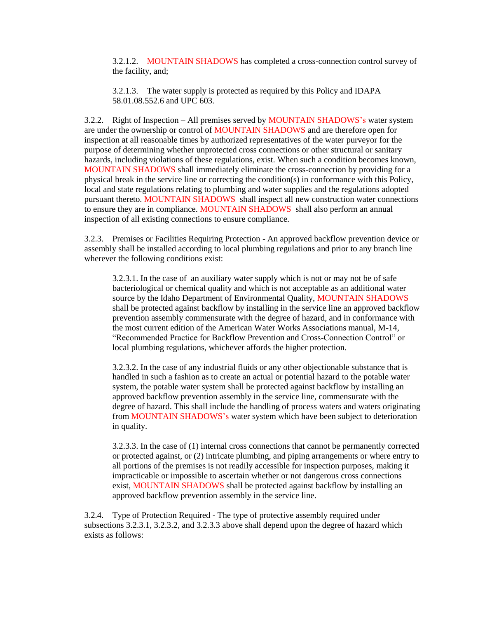3.2.1.2. MOUNTAIN SHADOWS has completed a cross-connection control survey of the facility, and;

3.2.1.3. The water supply is protected as required by this Policy and IDAPA 58.01.08.552.6 and UPC 603.

3.2.2. Right of Inspection – All premises served by MOUNTAIN SHADOWS's water system are under the ownership or control of MOUNTAIN SHADOWS and are therefore open for inspection at all reasonable times by authorized representatives of the water purveyor for the purpose of determining whether unprotected cross connections or other structural or sanitary hazards, including violations of these regulations, exist. When such a condition becomes known, MOUNTAIN SHADOWS shall immediately eliminate the cross-connection by providing for a physical break in the service line or correcting the condition(s) in conformance with this Policy, local and state regulations relating to plumbing and water supplies and the regulations adopted pursuant thereto. MOUNTAIN SHADOWS shall inspect all new construction water connections to ensure they are in compliance. MOUNTAIN SHADOWS shall also perform an annual inspection of all existing connections to ensure compliance.

3.2.3. Premises or Facilities Requiring Protection - An approved backflow prevention device or assembly shall be installed according to local plumbing regulations and prior to any branch line wherever the following conditions exist:

3.2.3.1. In the case of an auxiliary water supply which is not or may not be of safe bacteriological or chemical quality and which is not acceptable as an additional water source by the Idaho Department of Environmental Quality, MOUNTAIN SHADOWS shall be protected against backflow by installing in the service line an approved backflow prevention assembly commensurate with the degree of hazard, and in conformance with the most current edition of the American Water Works Associations manual, M-14, "Recommended Practice for Backflow Prevention and Cross-Connection Control" or local plumbing regulations, whichever affords the higher protection.

3.2.3.2. In the case of any industrial fluids or any other objectionable substance that is handled in such a fashion as to create an actual or potential hazard to the potable water system, the potable water system shall be protected against backflow by installing an approved backflow prevention assembly in the service line, commensurate with the degree of hazard. This shall include the handling of process waters and waters originating from MOUNTAIN SHADOWS's water system which have been subject to deterioration in quality.

3.2.3.3. In the case of (1) internal cross connections that cannot be permanently corrected or protected against, or (2) intricate plumbing, and piping arrangements or where entry to all portions of the premises is not readily accessible for inspection purposes, making it impracticable or impossible to ascertain whether or not dangerous cross connections exist, MOUNTAIN SHADOWS shall be protected against backflow by installing an approved backflow prevention assembly in the service line.

3.2.4. Type of Protection Required - The type of protective assembly required under subsections 3.2.3.1, 3.2.3.2, and 3.2.3.3 above shall depend upon the degree of hazard which exists as follows: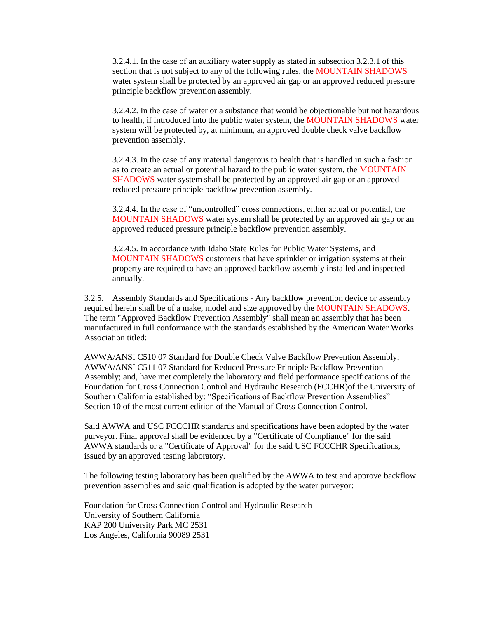3.2.4.1. In the case of an auxiliary water supply as stated in subsection 3.2.3.1 of this section that is not subject to any of the following rules, the MOUNTAIN SHADOWS water system shall be protected by an approved air gap or an approved reduced pressure principle backflow prevention assembly.

3.2.4.2. In the case of water or a substance that would be objectionable but not hazardous to health, if introduced into the public water system, the MOUNTAIN SHADOWS water system will be protected by, at minimum, an approved double check valve backflow prevention assembly.

3.2.4.3. In the case of any material dangerous to health that is handled in such a fashion as to create an actual or potential hazard to the public water system, the MOUNTAIN SHADOWS water system shall be protected by an approved air gap or an approved reduced pressure principle backflow prevention assembly.

3.2.4.4. In the case of "uncontrolled" cross connections, either actual or potential, the MOUNTAIN SHADOWS water system shall be protected by an approved air gap or an approved reduced pressure principle backflow prevention assembly.

3.2.4.5. In accordance with Idaho State Rules for Public Water Systems, and MOUNTAIN SHADOWS customers that have sprinkler or irrigation systems at their property are required to have an approved backflow assembly installed and inspected annually.

3.2.5. Assembly Standards and Specifications - Any backflow prevention device or assembly required herein shall be of a make, model and size approved by the MOUNTAIN SHADOWS. The term "Approved Backflow Prevention Assembly" shall mean an assembly that has been manufactured in full conformance with the standards established by the American Water Works Association titled:

AWWA/ANSI C510 07 Standard for Double Check Valve Backflow Prevention Assembly; AWWA/ANSI C511 07 Standard for Reduced Pressure Principle Backflow Prevention Assembly; and, have met completely the laboratory and field performance specifications of the Foundation for Cross Connection Control and Hydraulic Research (FCCHR)of the University of Southern California established by: "Specifications of Backflow Prevention Assemblies" Section 10 of the most current edition of the Manual of Cross Connection Control.

Said AWWA and USC FCCCHR standards and specifications have been adopted by the water purveyor. Final approval shall be evidenced by a "Certificate of Compliance" for the said AWWA standards or a "Certificate of Approval" for the said USC FCCCHR Specifications, issued by an approved testing laboratory.

The following testing laboratory has been qualified by the AWWA to test and approve backflow prevention assemblies and said qualification is adopted by the water purveyor:

Foundation for Cross Connection Control and Hydraulic Research University of Southern California KAP 200 University Park MC 2531 Los Angeles, California 90089 2531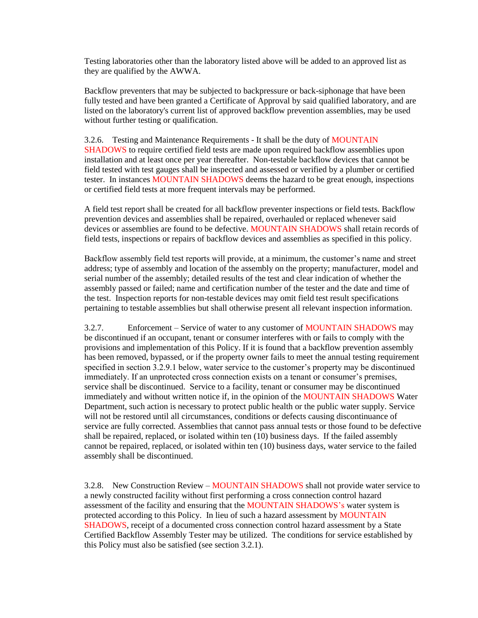Testing laboratories other than the laboratory listed above will be added to an approved list as they are qualified by the AWWA.

Backflow preventers that may be subjected to backpressure or back-siphonage that have been fully tested and have been granted a Certificate of Approval by said qualified laboratory, and are listed on the laboratory's current list of approved backflow prevention assemblies, may be used without further testing or qualification.

3.2.6. Testing and Maintenance Requirements - It shall be the duty of MOUNTAIN SHADOWS to require certified field tests are made upon required backflow assemblies upon installation and at least once per year thereafter. Non-testable backflow devices that cannot be field tested with test gauges shall be inspected and assessed or verified by a plumber or certified tester. In instances MOUNTAIN SHADOWS deems the hazard to be great enough, inspections or certified field tests at more frequent intervals may be performed.

A field test report shall be created for all backflow preventer inspections or field tests. Backflow prevention devices and assemblies shall be repaired, overhauled or replaced whenever said devices or assemblies are found to be defective. MOUNTAIN SHADOWS shall retain records of field tests, inspections or repairs of backflow devices and assemblies as specified in this policy.

Backflow assembly field test reports will provide, at a minimum, the customer's name and street address; type of assembly and location of the assembly on the property; manufacturer, model and serial number of the assembly; detailed results of the test and clear indication of whether the assembly passed or failed; name and certification number of the tester and the date and time of the test. Inspection reports for non-testable devices may omit field test result specifications pertaining to testable assemblies but shall otherwise present all relevant inspection information.

3.2.7. Enforcement – Service of water to any customer of MOUNTAIN SHADOWS may be discontinued if an occupant, tenant or consumer interferes with or fails to comply with the provisions and implementation of this Policy. If it is found that a backflow prevention assembly has been removed, bypassed, or if the property owner fails to meet the annual testing requirement specified in section 3.2.9.1 below, water service to the customer's property may be discontinued immediately. If an unprotected cross connection exists on a tenant or consumer's premises, service shall be discontinued. Service to a facility, tenant or consumer may be discontinued immediately and without written notice if, in the opinion of the MOUNTAIN SHADOWS Water Department, such action is necessary to protect public health or the public water supply. Service will not be restored until all circumstances, conditions or defects causing discontinuance of service are fully corrected. Assemblies that cannot pass annual tests or those found to be defective shall be repaired, replaced, or isolated within ten (10) business days. If the failed assembly cannot be repaired, replaced, or isolated within ten (10) business days, water service to the failed assembly shall be discontinued.

3.2.8. New Construction Review – MOUNTAIN SHADOWS shall not provide water service to a newly constructed facility without first performing a cross connection control hazard assessment of the facility and ensuring that the MOUNTAIN SHADOWS's water system is protected according to this Policy. In lieu of such a hazard assessment by MOUNTAIN SHADOWS, receipt of a documented cross connection control hazard assessment by a State Certified Backflow Assembly Tester may be utilized. The conditions for service established by this Policy must also be satisfied (see section 3.2.1).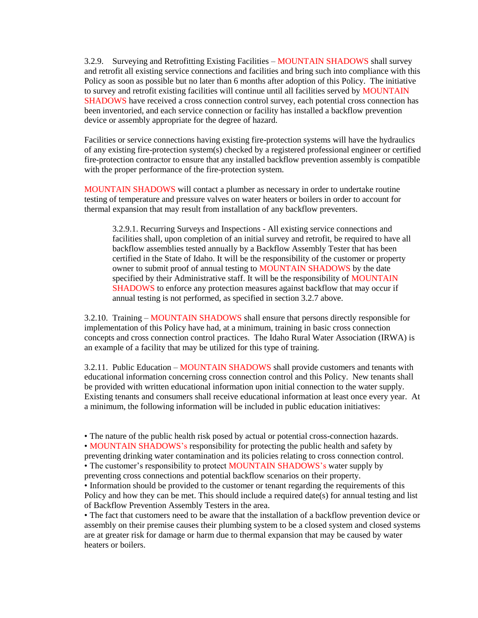3.2.9. Surveying and Retrofitting Existing Facilities – MOUNTAIN SHADOWS shall survey and retrofit all existing service connections and facilities and bring such into compliance with this Policy as soon as possible but no later than 6 months after adoption of this Policy. The initiative to survey and retrofit existing facilities will continue until all facilities served by MOUNTAIN SHADOWS have received a cross connection control survey, each potential cross connection has been inventoried, and each service connection or facility has installed a backflow prevention device or assembly appropriate for the degree of hazard.

Facilities or service connections having existing fire-protection systems will have the hydraulics of any existing fire-protection system(s) checked by a registered professional engineer or certified fire-protection contractor to ensure that any installed backflow prevention assembly is compatible with the proper performance of the fire-protection system.

MOUNTAIN SHADOWS will contact a plumber as necessary in order to undertake routine testing of temperature and pressure valves on water heaters or boilers in order to account for thermal expansion that may result from installation of any backflow preventers.

3.2.9.1. Recurring Surveys and Inspections - All existing service connections and facilities shall, upon completion of an initial survey and retrofit, be required to have all backflow assemblies tested annually by a Backflow Assembly Tester that has been certified in the State of Idaho. It will be the responsibility of the customer or property owner to submit proof of annual testing to MOUNTAIN SHADOWS by the date specified by their Administrative staff. It will be the responsibility of MOUNTAIN SHADOWS to enforce any protection measures against backflow that may occur if annual testing is not performed, as specified in section 3.2.7 above.

3.2.10. Training – MOUNTAIN SHADOWS shall ensure that persons directly responsible for implementation of this Policy have had, at a minimum, training in basic cross connection concepts and cross connection control practices. The Idaho Rural Water Association (IRWA) is an example of a facility that may be utilized for this type of training.

3.2.11. Public Education – MOUNTAIN SHADOWS shall provide customers and tenants with educational information concerning cross connection control and this Policy. New tenants shall be provided with written educational information upon initial connection to the water supply. Existing tenants and consumers shall receive educational information at least once every year. At a minimum, the following information will be included in public education initiatives:

• The nature of the public health risk posed by actual or potential cross-connection hazards.

• MOUNTAIN SHADOWS's responsibility for protecting the public health and safety by

preventing drinking water contamination and its policies relating to cross connection control.

• The customer's responsibility to protect MOUNTAIN SHADOWS's water supply by preventing cross connections and potential backflow scenarios on their property.

• Information should be provided to the customer or tenant regarding the requirements of this Policy and how they can be met. This should include a required date(s) for annual testing and list of Backflow Prevention Assembly Testers in the area.

• The fact that customers need to be aware that the installation of a backflow prevention device or assembly on their premise causes their plumbing system to be a closed system and closed systems are at greater risk for damage or harm due to thermal expansion that may be caused by water heaters or boilers.